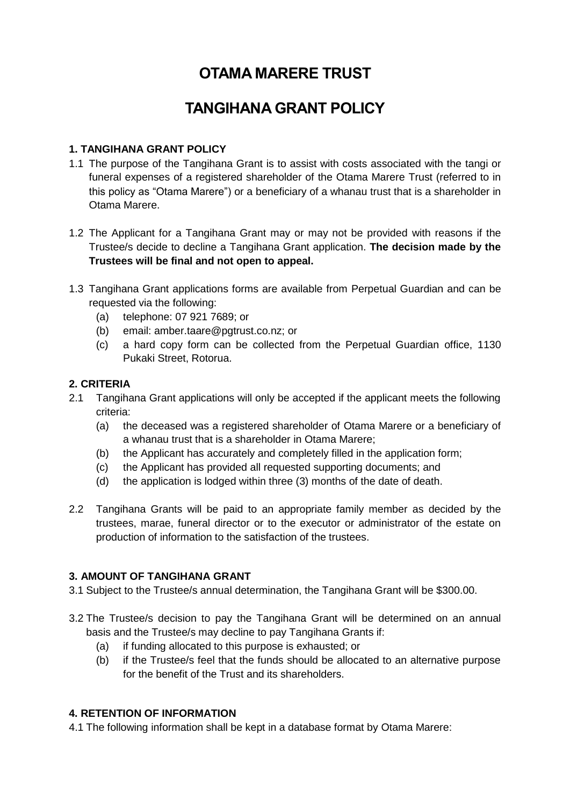# **OTAMA MARERE TRUST**

## **TANGIHANA GRANT POLICY**

## **1. TANGIHANA GRANT POLICY**

- 1.1 The purpose of the Tangihana Grant is to assist with costs associated with the tangi or funeral expenses of a registered shareholder of the Otama Marere Trust (referred to in this policy as "Otama Marere") or a beneficiary of a whanau trust that is a shareholder in Otama Marere.
- 1.2 The Applicant for a Tangihana Grant may or may not be provided with reasons if the Trustee/s decide to decline a Tangihana Grant application. **The decision made by the Trustees will be final and not open to appeal.**
- 1.3 Tangihana Grant applications forms are available from Perpetual Guardian and can be requested via the following:
	- (a) telephone: 07 921 7689; or
	- (b) email: [amber.taare@pgtrust.co.nz;](mailto:amber.taare@pgtrust.co.nz) or
	- (c) a hard copy form can be collected from the Perpetual Guardian office, 1130 Pukaki Street, Rotorua.

### **2. CRITERIA**

- 2.1 Tangihana Grant applications will only be accepted if the applicant meets the following criteria:
	- (a) the deceased was a registered shareholder of Otama Marere or a beneficiary of a whanau trust that is a shareholder in Otama Marere;
	- (b) the Applicant has accurately and completely filled in the application form;
	- (c) the Applicant has provided all requested supporting documents; and
	- (d) the application is lodged within three (3) months of the date of death.
- 2.2 Tangihana Grants will be paid to an appropriate family member as decided by the trustees, marae, funeral director or to the executor or administrator of the estate on production of information to the satisfaction of the trustees.

## **3. AMOUNT OF TANGIHANA GRANT**

3.1 Subject to the Trustee/s annual determination, the Tangihana Grant will be \$300.00.

- 3.2 The Trustee/s decision to pay the Tangihana Grant will be determined on an annual basis and the Trustee/s may decline to pay Tangihana Grants if:
	- (a) if funding allocated to this purpose is exhausted; or
	- (b) if the Trustee/s feel that the funds should be allocated to an alternative purpose for the benefit of the Trust and its shareholders.

## **4. RETENTION OF INFORMATION**

4.1 The following information shall be kept in a database format by Otama Marere: